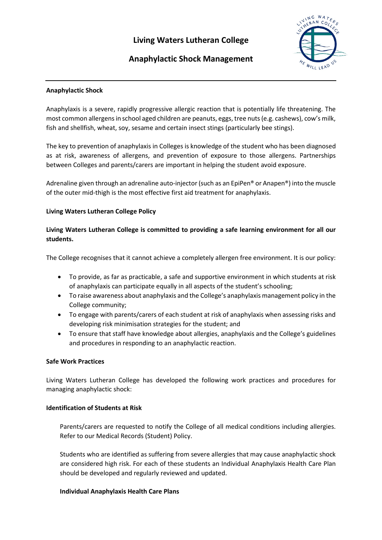# ING WAY RAN CO

# **Anaphylactic Shock Management**

# **Anaphylactic Shock**

Anaphylaxis is a severe, rapidly progressive allergic reaction that is potentially life threatening. The most common allergens in school aged children are peanuts, eggs, tree nuts (e.g. cashews), cow's milk, fish and shellfish, wheat, soy, sesame and certain insect stings (particularly bee stings).

The key to prevention of anaphylaxis in Colleges is knowledge of the student who has been diagnosed as at risk, awareness of allergens, and prevention of exposure to those allergens. Partnerships between Colleges and parents/carers are important in helping the student avoid exposure.

Adrenaline given through an adrenaline auto-injector (such as an EpiPen® or Anapen®) into the muscle of the outer mid-thigh is the most effective first aid treatment for anaphylaxis.

# **Living Waters Lutheran College Policy**

# **Living Waters Lutheran College is committed to providing a safe learning environment for all our students.**

The College recognises that it cannot achieve a completely allergen free environment. It is our policy:

- To provide, as far as practicable, a safe and supportive environment in which students at risk of anaphylaxis can participate equally in all aspects of the student's schooling;
- To raise awareness about anaphylaxis and the College's anaphylaxis management policy in the College community;
- To engage with parents/carers of each student at risk of anaphylaxis when assessing risks and developing risk minimisation strategies for the student; and
- To ensure that staff have knowledge about allergies, anaphylaxis and the College's guidelines and procedures in responding to an anaphylactic reaction.

## **Safe Work Practices**

Living Waters Lutheran College has developed the following work practices and procedures for managing anaphylactic shock:

## **Identification of Students at Risk**

Parents/carers are requested to notify the College of all medical conditions including allergies. Refer to our Medical Records (Student) Policy.

Students who are identified as suffering from severe allergies that may cause anaphylactic shock are considered high risk. For each of these students an Individual Anaphylaxis Health Care Plan should be developed and regularly reviewed and updated.

## **Individual Anaphylaxis Health Care Plans**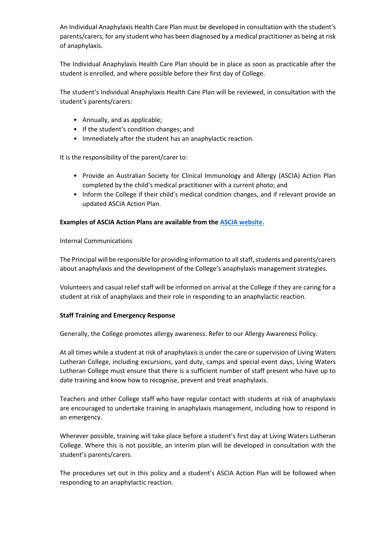An Individual Anaphylaxis Health Care Plan must be developed in consultation with the student's parents/carers, for any student who has been diagnosed by a medical practitioner as being at risk of anaphylaxis.

The Individual Anaphylaxis Health Care Plan should be in place as soon as practicable after the student is enrolled, and where possible before their first day of College.

The student's Individual Anaphylaxis Health Care Plan will be reviewed, in consultation with the student's parents/carers:

- Annually, and as applicable;
- If the student's condition changes; and
- Immediately after the student has an anaphylactic reaction.

It is the responsibility of the parent/carer to:

- Provide an Australian Society for Clinical Immunology and Allergy (ASCIA) Action Plan completed by the child's medical practitioner with a current photo; and
- Inform the College if their child's medical condition changes, and if relevant provide an updated ASCIA Action Plan.

## **Examples of ASCIA Action Plans are available from the [ASCIA website.](https://www.allergy.org.au/hp/anaphylaxis/ascia-action-plan-for-anaphylaxis)**

Internal Communications

The Principal will be responsible for providing information to all staff, students and parents/carers about anaphylaxis and the development of the College's anaphylaxis management strategies.

Volunteers and casual relief staff will be informed on arrival at the College if they are caring for a student at risk of anaphylaxis and their role in responding to an anaphylactic reaction.

#### **Staff Training and Emergency Response**

Generally, the College promotes allergy awareness. Refer to our Allergy Awareness Policy.

At all times while a student at risk of anaphylaxis is under the care or supervision of Living Waters Lutheran College, including excursions, yard duty, camps and special event days, Living Waters Lutheran College must ensure that there is a sufficient number of staff present who have up to date training and know how to recognise, prevent and treat anaphylaxis.

Teachers and other College staff who have regular contact with students at risk of anaphylaxis are encouraged to undertake training in anaphylaxis management, including how to respond in an emergency.

Wherever possible, training will take place before a student's first day at Living Waters Lutheran College. Where this is not possible, an interim plan will be developed in consultation with the student's parents/carers.

The procedures set out in this policy and a student's ASCIA Action Plan will be followed when responding to an anaphylactic reaction.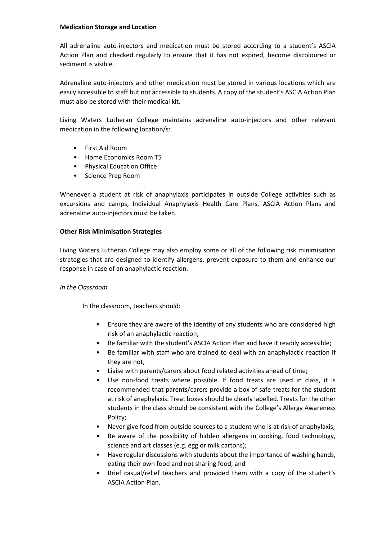#### **Medication Storage and Location**

All adrenaline auto-injectors and medication must be stored according to a student's ASCIA Action Plan and checked regularly to ensure that it has not expired, become discoloured or sediment is visible.

Adrenaline auto-injectors and other medication must be stored in various locations which are easily accessible to staff but not accessible to students. A copy of the student's ASCIA Action Plan must also be stored with their medical kit.

Living Waters Lutheran College maintains adrenaline auto-injectors and other relevant medication in the following location/s:

- First Aid Room
- Home Economics Room T5
- Physical Education Office
- Science Prep Room

Whenever a student at risk of anaphylaxis participates in outside College activities such as excursions and camps, Individual Anaphylaxis Health Care Plans, ASCIA Action Plans and adrenaline auto-injectors must be taken.

#### **Other Risk Minimisation Strategies**

Living Waters Lutheran College may also employ some or all of the following risk minimisation strategies that are designed to identify allergens, prevent exposure to them and enhance our response in case of an anaphylactic reaction.

#### *In the Classroom*

In the classroom, teachers should:

- Ensure they are aware of the identity of any students who are considered high risk of an anaphylactic reaction;
- Be familiar with the student's ASCIA Action Plan and have it readily accessible;
- Be familiar with staff who are trained to deal with an anaphylactic reaction if they are not;
- Liaise with parents/carers about food related activities ahead of time;
- Use non-food treats where possible. If food treats are used in class, it is recommended that parents/carers provide a box of safe treats for the student at risk of anaphylaxis. Treat boxes should be clearly labelled. Treats for the other students in the class should be consistent with the College's Allergy Awareness Policy;
- Never give food from outside sources to a student who is at risk of anaphylaxis;
- Be aware of the possibility of hidden allergens in cooking, food technology, science and art classes (e.g. egg or milk cartons);
- Have regular discussions with students about the importance of washing hands, eating their own food and not sharing food; and
- Brief casual/relief teachers and provided them with a copy of the student's ASCIA Action Plan.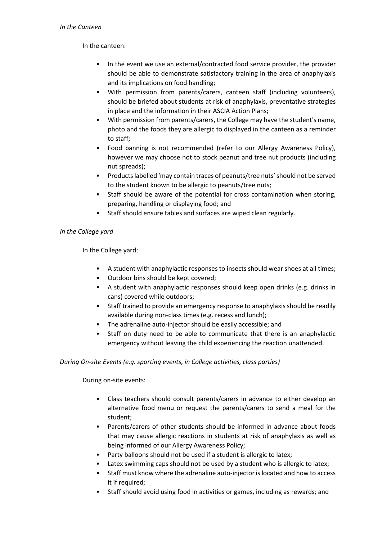#### *In the Canteen*

In the canteen:

- In the event we use an external/contracted food service provider, the provider should be able to demonstrate satisfactory training in the area of anaphylaxis and its implications on food handling;
- With permission from parents/carers, canteen staff (including volunteers), should be briefed about students at risk of anaphylaxis, preventative strategies in place and the information in their ASCIA Action Plans;
- With permission from parents/carers, the College may have the student's name, photo and the foods they are allergic to displayed in the canteen as a reminder to staff;
- Food banning is not recommended (refer to our Allergy Awareness Policy), however we may choose not to stock peanut and tree nut products (including nut spreads);
- Products labelled 'may contain traces of peanuts/tree nuts' should not be served to the student known to be allergic to peanuts/tree nuts;
- Staff should be aware of the potential for cross contamination when storing, preparing, handling or displaying food; and
- Staff should ensure tables and surfaces are wiped clean regularly.

# *In the College yard*

In the College yard:

- A student with anaphylactic responses to insects should wear shoes at all times;
- Outdoor bins should be kept covered;
- A student with anaphylactic responses should keep open drinks (e.g. drinks in cans) covered while outdoors;
- Staff trained to provide an emergency response to anaphylaxis should be readily available during non-class times (e.g. recess and lunch);
- The adrenaline auto-injector should be easily accessible; and
- Staff on duty need to be able to communicate that there is an anaphylactic emergency without leaving the child experiencing the reaction unattended.

## *During On-site Events (e.g. sporting events, in College activities, class parties)*

During on-site events:

- Class teachers should consult parents/carers in advance to either develop an alternative food menu or request the parents/carers to send a meal for the student;
- Parents/carers of other students should be informed in advance about foods that may cause allergic reactions in students at risk of anaphylaxis as well as being informed of our Allergy Awareness Policy;
- Party balloons should not be used if a student is allergic to latex;
- Latex swimming caps should not be used by a student who is allergic to latex;
- Staff must know where the adrenaline auto-injector is located and how to access it if required;
- Staff should avoid using food in activities or games, including as rewards; and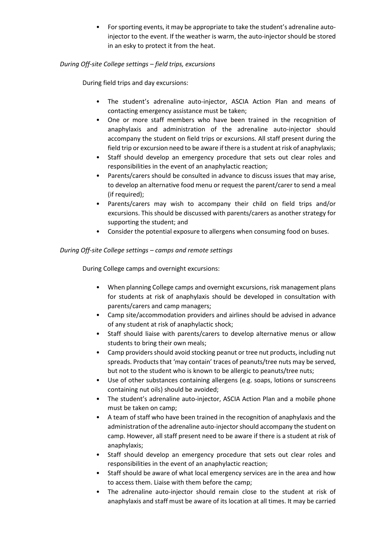• For sporting events, it may be appropriate to take the student's adrenaline autoinjector to the event. If the weather is warm, the auto-injector should be stored in an esky to protect it from the heat.

# *During Off-site College settings – field trips, excursions*

During field trips and day excursions:

- The student's adrenaline auto-injector, ASCIA Action Plan and means of contacting emergency assistance must be taken;
- One or more staff members who have been trained in the recognition of anaphylaxis and administration of the adrenaline auto-injector should accompany the student on field trips or excursions. All staff present during the field trip or excursion need to be aware if there is a student at risk of anaphylaxis;
- Staff should develop an emergency procedure that sets out clear roles and responsibilities in the event of an anaphylactic reaction;
- Parents/carers should be consulted in advance to discuss issues that may arise, to develop an alternative food menu or request the parent/carer to send a meal (if required);
- Parents/carers may wish to accompany their child on field trips and/or excursions. This should be discussed with parents/carers as another strategy for supporting the student; and
- Consider the potential exposure to allergens when consuming food on buses.

# *During Off-site College settings – camps and remote settings*

During College camps and overnight excursions:

- When planning College camps and overnight excursions, risk management plans for students at risk of anaphylaxis should be developed in consultation with parents/carers and camp managers;
- Camp site/accommodation providers and airlines should be advised in advance of any student at risk of anaphylactic shock;
- Staff should liaise with parents/carers to develop alternative menus or allow students to bring their own meals;
- Camp providers should avoid stocking peanut or tree nut products, including nut spreads. Products that 'may contain' traces of peanuts/tree nuts may be served, but not to the student who is known to be allergic to peanuts/tree nuts;
- Use of other substances containing allergens (e.g. soaps, lotions or sunscreens containing nut oils) should be avoided;
- The student's adrenaline auto-injector, ASCIA Action Plan and a mobile phone must be taken on camp;
- A team of staff who have been trained in the recognition of anaphylaxis and the administration of the adrenaline auto-injector should accompany the student on camp. However, all staff present need to be aware if there is a student at risk of anaphylaxis;
- Staff should develop an emergency procedure that sets out clear roles and responsibilities in the event of an anaphylactic reaction;
- Staff should be aware of what local emergency services are in the area and how to access them. Liaise with them before the camp;
- The adrenaline auto-injector should remain close to the student at risk of anaphylaxis and staff must be aware of its location at all times. It may be carried